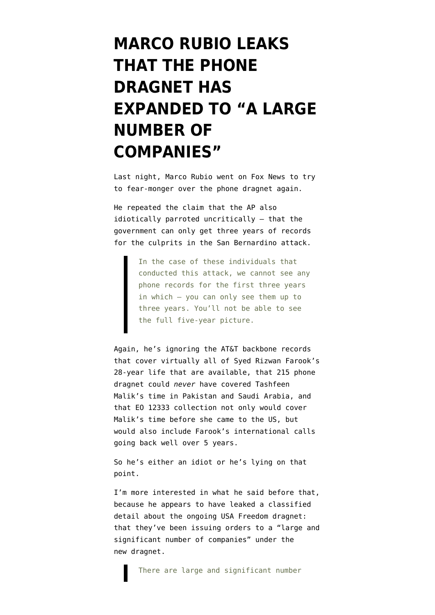## **[MARCO RUBIO LEAKS](https://www.emptywheel.net/2015/12/08/marco-rubio-leaks-that-the-phone-dragnet-has-expanded-to-a-large-number-of-companies/) [THAT THE PHONE](https://www.emptywheel.net/2015/12/08/marco-rubio-leaks-that-the-phone-dragnet-has-expanded-to-a-large-number-of-companies/) [DRAGNET HAS](https://www.emptywheel.net/2015/12/08/marco-rubio-leaks-that-the-phone-dragnet-has-expanded-to-a-large-number-of-companies/) [EXPANDED TO "A LARGE](https://www.emptywheel.net/2015/12/08/marco-rubio-leaks-that-the-phone-dragnet-has-expanded-to-a-large-number-of-companies/) [NUMBER OF](https://www.emptywheel.net/2015/12/08/marco-rubio-leaks-that-the-phone-dragnet-has-expanded-to-a-large-number-of-companies/) [COMPANIES"](https://www.emptywheel.net/2015/12/08/marco-rubio-leaks-that-the-phone-dragnet-has-expanded-to-a-large-number-of-companies/)**

Last night, Marco Rubio [went on Fox News](https://grabien.com/story.php?id=43033) to try to fear-monger over the phone dragnet again.

He repeated the claim that the [AP also](https://www.emptywheel.net/2015/12/06/why-the-aps-call-record-article-is-so-stupid/) [idiotically parroted](https://www.emptywheel.net/2015/12/06/why-the-aps-call-record-article-is-so-stupid/) uncritically — that the government can only get three years of records for the culprits in the San Bernardino attack.

> In the case of these individuals that conducted this attack, we cannot see any phone records for the first three years in which — you can only see them up to three years. You'll not be able to see the full five-year picture.

Again, he's ignoring the AT&T backbone records that cover virtually all of Syed Rizwan Farook's 28-year life that are available, that 215 phone dragnet could *never* have covered Tashfeen Malik's time in Pakistan and Saudi Arabia, and that EO 12333 collection not only would cover Malik's time before she came to the US, but would also include Farook's international calls going back well over 5 years.

So he's either an idiot or he's lying on that point.

I'm more interested in what he said before that, because he appears to have leaked a classified detail about the ongoing USA Freedom dragnet: that they've been issuing orders to a "large and significant number of companies" under the new dragnet.

There are large and significant number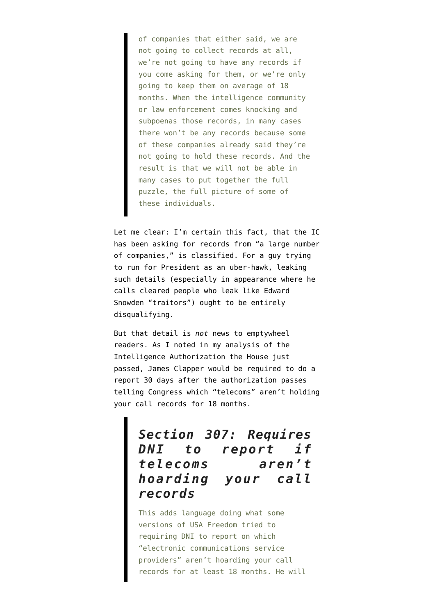of companies that either said, we are not going to collect records at all, we're not going to have any records if you come asking for them, or we're only going to keep them on average of 18 months. When the intelligence community or law enforcement comes knocking and subpoenas those records, in many cases there won't be any records because some of these companies already said they're not going to hold these records. And the result is that we will not be able in many cases to put together the full puzzle, the full picture of some of these individuals.

Let me clear: I'm certain this fact, that the IC has been asking for records from "a large number of companies," is classified. For a guy trying to run for President as an uber-hawk, leaking such details (especially in appearance where he calls cleared people who leak like Edward Snowden "traitors") ought to be entirely disqualifying.

But that detail is *not* news to emptywheel readers. As I [noted](https://www.emptywheel.net/2015/12/01/interesting-tidbits-from-the-house-intelligence-authorization/) in my analysis of the [Intelligence Authorization](http://intelligence.house.gov/fy16-iaa) the House just passed, James Clapper would be required to do a report 30 days after the authorization passes telling Congress which "telecoms" aren't holding your call records for 18 months.

## *Section 307: Requires DNI to report if telecoms aren't hoarding your call records*

This adds language doing what some versions of USA Freedom tried to requiring DNI to report on which "electronic communications service providers" aren't hoarding your call records for at least 18 months. He will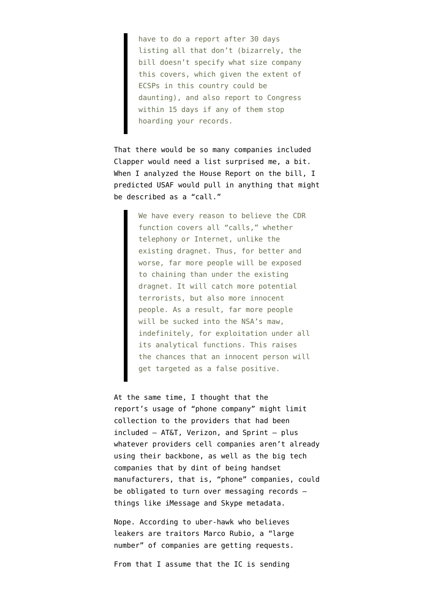have to do a report after 30 days listing all that don't (bizarrely, the bill doesn't specify what size company this covers, which given the extent of ECSPs in this country could be daunting), and also report to Congress within 15 days if any of them stop hoarding your records.

That there would be so many companies included Clapper would need a list surprised me, a bit. When I analyzed [the House Report](https://www.emptywheel.net/2015/05/14/some-thoughts-on-usa-f-redux/) on the bill, I predicted USAF would pull in anything that might be described as a "call."

> We have every reason to believe the CDR function covers all "calls," whether telephony or Internet, unlike the existing dragnet. Thus, for better and worse, far more people will be exposed to chaining than under the existing dragnet. It will catch more potential terrorists, but also more innocent people. As a result, far more people will be sucked into the NSA's maw, indefinitely, for exploitation under all its analytical functions. This raises the chances that an innocent person will get targeted as a false positive.

At the same time, I thought that the report's usage of "phone company" might limit collection to the providers that had been included — AT&T, Verizon, and Sprint — plus whatever providers cell companies aren't already using their backbone, as well as the big tech companies that by dint of being handset manufacturers, that is, "phone" companies, could be obligated to turn over messaging records things like iMessage and Skype metadata.

Nope. According to uber-hawk who believes leakers are traitors Marco Rubio, a "large number" of companies are getting requests.

From that I assume that the IC is sending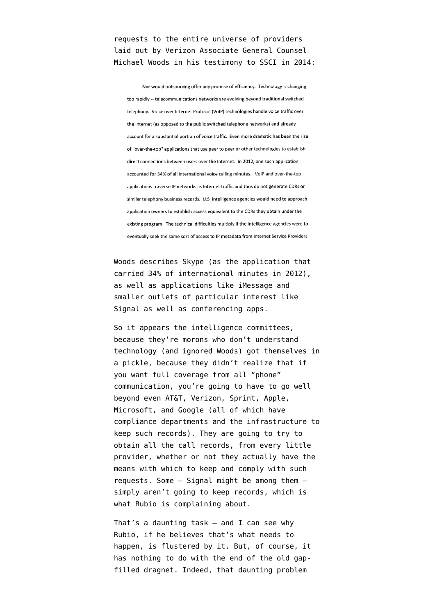requests to the entire universe of providers laid out by Verizon Associate General Counsel Michael Woods in his [testimony](https://www.emptywheel.net/wp-content/uploads/2014/06/140605-Verizon-Woods-Testimony.pdf) to SSCI in 2014:

Nor would outsourcing offer any promise of efficiency. Technology is changing too rapidly -- telecommunications networks are evolving beyond traditional switched telephony. Voice over Internet Protocol (VoIP) technologies handle voice traffic over the Internet (as opposed to the public switched telephone networks) and already account for a substantial portion of voice traffic. Even more dramatic has been the rise of "over-the-top" applications that use peer to peer or other technologies to establish direct connections between users over the Internet. In 2012, one such application accounted for 34% of all international voice calling minutes. VoIP and over-the-top applications traverse IP networks as Internet traffic and thus do not generate CDRs or similar telephony business records. U.S. intelligence agencies would need to approach application owners to establish access equivalent to the CDRs they obtain under the existing program. The technical difficulties multiply if the intelligence agencies were to eventually seek the same sort of access to IP metadata from Internet Service Providers.

Woods describes Skype (as the application that carried 34% of international minutes in 2012), as well as applications like iMessage and smaller outlets of particular interest like Signal as well as conferencing apps.

So it appears the intelligence committees, because they're morons who don't understand technology (and ignored Woods) got themselves in a pickle, because they didn't realize that if you want full coverage from all "phone" communication, you're going to have to go well beyond even AT&T, Verizon, Sprint, Apple, Microsoft, and Google (all of which have compliance departments and the infrastructure to keep such records). They are going to try to obtain all the call records, from every little provider, whether or not they actually have the means with which to keep and comply with such requests. Some — Signal might be among them simply aren't going to keep records, which is what Rubio is complaining about.

That's a daunting task — and I can see why Rubio, if he believes that's what needs to happen, is flustered by it. But, of course, it has nothing to do with the end of the old gapfilled dragnet. Indeed, that daunting problem